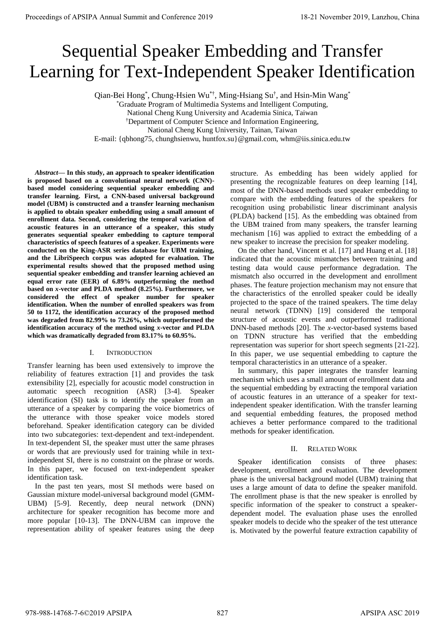# Sequential Speaker Embedding and Transfer Learning for Text-Independent Speaker Identification

Qian-Bei Hong<sup>\*</sup>, Chung-Hsien Wu<sup>\*†</sup>, Ming-Hsiang Su<sup>†</sup>, and Hsin-Min Wang<sup>\*</sup>

\*Graduate Program of Multimedia Systems and Intelligent Computing, National Cheng Kung University and Academia Sinica, Taiwan

†Department of Computer Science and Information Engineering,

National Cheng Kung University, Tainan, Taiwan

E-mail: {qbhong75, chunghsienwu, huntfox.su}@gmail.com, whm@iis.sinica.edu.tw

*Abstract***— In this study, an approach to speaker identification is proposed based on a convolutional neural network (CNN) based model considering sequential speaker embedding and transfer learning. First, a CNN-based universal background model (UBM) is constructed and a transfer learning mechanism is applied to obtain speaker embedding using a small amount of enrollment data. Second, considering the temporal variation of acoustic features in an utterance of a speaker, this study generates sequential speaker embedding to capture temporal characteristics of speech features of a speaker. Experiments were conducted on the King-ASR series database for UBM training, and the LibriSpeech corpus was adopted for evaluation. The experimental results showed that the proposed method using sequential speaker embedding and transfer learning achieved an equal error rate (EER) of 6.89% outperforming the method based on** *x***-vector and PLDA method (8.25%). Furthermore, we considered the effect of speaker number for speaker identification. When the number of enrolled speakers was from 50 to 1172, the identification accuracy of the proposed method was degraded from 82.99% to 73.26%, which outperformed the identification accuracy of the method using** *x***-vector and PLDA which was dramatically degraded from 83.17% to 60.95%. Proceeding of APSIPA Annual Summit at China 62-21 November 2019**<br>
Sequential Special engines with an annual special engine and Conference 2019 in the special engine and Conference 2019<br>
China 978-988-1489-7-600 and Confe

## I. INTRODUCTION

Transfer learning has been used extensively to improve the reliability of features extraction [1] and provides the task extensibility [2], especially for acoustic model construction in automatic speech recognition (ASR) [3-4]. Speaker identification (SI) task is to identify the speaker from an utterance of a speaker by comparing the voice biometrics of the utterance with those speaker voice models stored beforehand. Speaker identification category can be divided into two subcategories: text-dependent and text-independent. In text-dependent SI, the speaker must utter the same phrases or words that are previously used for training while in textindependent SI, there is no constraint on the phrase or words. In this paper, we focused on text-independent speaker identification task.

In the past ten years, most SI methods were based on Gaussian mixture model-universal background model (GMM-UBM) [5-9]. Recently, deep neural network (DNN) architecture for speaker recognition has become more and more popular [10-13]. The DNN-UBM can improve the representation ability of speaker features using the deep structure. As embedding has been widely applied for presenting the recognizable features on deep learning [14], most of the DNN-based methods used speaker embedding to compare with the embedding features of the speakers for recognition using probabilistic linear discriminant analysis (PLDA) backend [15]. As the embedding was obtained from the UBM trained from many speakers, the transfer learning mechanism [16] was applied to extract the embedding of a new speaker to increase the precision for speaker modeling.

On the other hand, Vincent et al. [17] and Huang et al. [18] indicated that the acoustic mismatches between training and testing data would cause performance degradation. The mismatch also occurred in the development and enrollment phases. The feature projection mechanism may not ensure that the characteristics of the enrolled speaker could be ideally projected to the space of the trained speakers. The time delay neural network (TDNN) [19] considered the temporal structure of acoustic events and outperformed traditional DNN-based methods [20]. The *x*-vector-based systems based on TDNN structure has verified that the embedding representation was superior for short speech segments [21-22]. In this paper, we use sequential embedding to capture the temporal characteristics in an utterance of a speaker.

In summary, this paper integrates the transfer learning mechanism which uses a small amount of enrollment data and the sequential embedding by extracting the temporal variation of acoustic features in an utterance of a speaker for textindependent speaker identification. With the transfer learning and sequential embedding features, the proposed method achieves a better performance compared to the traditional methods for speaker identification.

## II. RELATED WORK

Speaker identification consists of three phases: development, enrollment and evaluation. The development phase is the universal background model (UBM) training that uses a large amount of data to define the speaker manifold. The enrollment phase is that the new speaker is enrolled by specific information of the speaker to construct a speakerdependent model. The evaluation phase uses the enrolled speaker models to decide who the speaker of the test utterance is. Motivated by the powerful feature extraction capability of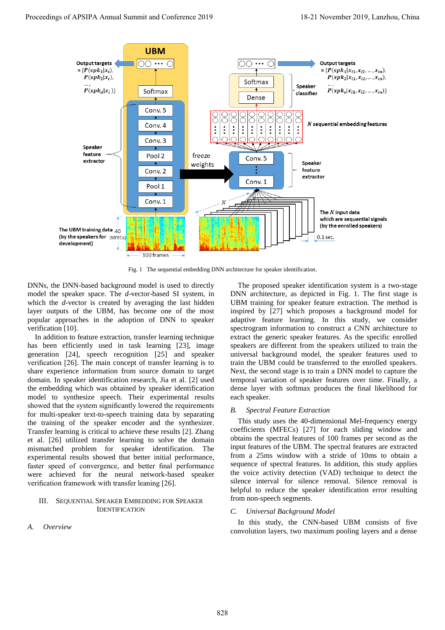

Fig. 1 The sequential embedding DNN architecture for speaker identification.

DNNs, the DNN-based background model is used to directly model the speaker space. The *d*-vector-based SI system, in which the *d*-vector is created by averaging the last hidden layer outputs of the UBM, has become one of the most popular approaches in the adoption of DNN to speaker verification [10].

In addition to feature extraction, transfer learning technique has been efficiently used in task learning [23], image generation [24], speech recognition [25] and speaker verification [26]. The main concept of transfer learning is to share experience information from source domain to target domain. In speaker identification research, Jia et al. [2] used the embedding which was obtained by speaker identification model to synthesize speech. Their experimental results showed that the system significantly lowered the requirements for multi-speaker text-to-speech training data by separating the training of the speaker encoder and the synthesizer. Transfer learning is critical to achieve these results [2]. Zhang et al. [26] utilized transfer learning to solve the domain mismatched problem for speaker identification. The experimental results showed that better initial performance, faster speed of convergence, and better final performance were achieved for the neural network-based speaker verification framework with transfer leaning [26].

#### III. SEQUENTIAL SPEAKER EMBEDDING FOR SPEAKER IDENTIFICATION

*A. Overview* 

The proposed speaker identification system is a two-stage DNN architecture, as depicted in Fig. 1. The first stage is UBM training for speaker feature extraction. The method is inspired by [27] which proposes a background model for adaptive feature learning. In this study, we consider spectrogram information to construct a CNN architecture to extract the generic speaker features. As the specific enrolled speakers are different from the speakers utilized to train the universal background model, the speaker features used to train the UBM could be transferred to the enrolled speakers. Next, the second stage is to train a DNN model to capture the temporal variation of speaker features over time. Finally, a dense layer with softmax produces the final likelihood for each speaker.

#### *B. Spectral Feature Extraction*

This study uses the 40-dimensional Mel-frequency energy coefficients (MFECs) [27] for each sliding window and obtains the spectral features of 100 frames per second as the input features of the UBM. The spectral features are extracted from a 25ms window with a stride of 10ms to obtain a sequence of spectral features. In addition, this study applies the voice activity detection (VAD) technique to detect the silence interval for silence removal. Silence removal is helpful to reduce the speaker identification error resulting from non-speech segments.

#### *C. Universal Background Model*

In this study, the CNN-based UBM consists of five convolution layers, two maximum pooling layers and a dense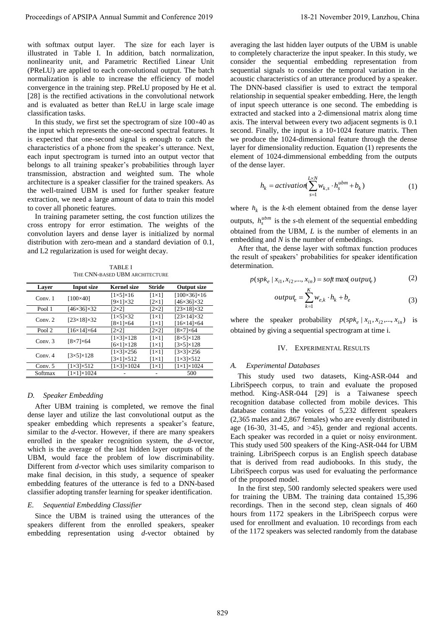with softmax output layer. The size for each layer is illustrated in Table I. In addition, batch normalization, nonlinearity unit, and Parametric Rectified Linear Unit (PReLU) are applied to each convolutional output. The batch normalization is able to increase the efficiency of model convergence in the training step. PReLU proposed by He et al. [28] is the rectified activations in the convolutional network and is evaluated as better than ReLU in large scale image classification tasks.

In this study, we first set the spectrogram of size  $100 \times 40$  as the input which represents the one-second spectral features. It is expected that one-second signal is enough to catch the characteristics of a phone from the speaker's utterance. Next, each input spectrogram is turned into an output vector that belongs to all training speaker's probabilities through layer transmission, abstraction and weighted sum. The whole architecture is a speaker classifier for the trained speakers. As the well-trained UBM is used for further speaker feature extraction, we need a large amount of data to train this model to cover all phonetic features.

In training parameter setting, the cost function utilizes the cross entropy for error estimation. The weights of the convolution layers and dense layer is initialized by normal distribution with zero-mean and a standard deviation of 0.1, and L2 regularization is used for weight decay.

TABLE I THE CNN-BASED UBM ARCHITECTURE

| <b>Layer</b> | <b>Input size</b>          | <b>Kernel size</b>         | <b>Stride</b>  | <b>Output size</b>         |
|--------------|----------------------------|----------------------------|----------------|----------------------------|
| Conv.1       | $[100\times40]$            | $[1 \times 5] \times 16$   | $[1 \times 1]$ | $[100\times36]\times16$    |
|              |                            | $[9\times1]\times32$       | $[2\times1]$   | $[46\times36]\times32$     |
| Pool 1       | $[46 \times 36] \times 32$ | [2×2]                      | $[2\times2]$   | $[23\times18]\times32$     |
| Conv. $2$    | $[23\times18]\times32$     | $[1\times5]\times32$       | $[1 \times 1]$ | $[23\times14]\times32$     |
|              |                            | $[8\times1]\times64$       | $[1 \times 1]$ | $[16\times14]\times64$     |
| Pool 2       | $[16\times14]\times64$     | [2×2]                      | $[2\times2]$   | $[8\times7]\times64$       |
| Conv.3       | $[8\times7]\times64$       | $[1\times3\times128]$      | $[1 \times 1]$ | $[8\times5]\times128$      |
|              |                            | $[6 \times 1] \times 128$  | $[1 \times 1]$ | $[3\times5]\times128$      |
| Conv. $4$    | $[3\times5]\times128$      | $[1\times3]\times256$      | $[1 \times 1]$ | $[3\times3]\times256$      |
|              |                            | $[3\times1]\times512$      | $[1 \times 1]$ | $[1\times3]\times512$      |
| Conv. $5$    | $[1\times3]\times512$      | $[1 \times 3] \times 1024$ | $[1 \times 1]$ | $[1 \times 1] \times 1024$ |
| Softmax      | $[1 \times 1] \times 1024$ |                            |                | 500                        |

#### *D. Speaker Embedding*

After UBM training is completed, we remove the final dense layer and utilize the last convolutional output as the speaker embedding which represents a speaker's feature, similar to the *d*-vector. However, if there are many speakers enrolled in the speaker recognition system, the *d*-vector, which is the average of the last hidden layer outputs of the UBM, would face the problem of low discriminability. Different from *d*-vector which uses similarity comparison to make final decision, in this study, a sequence of speaker embedding features of the utterance is fed to a DNN-based classifier adopting transfer learning for speaker identification.

#### *E. Sequential Embedding Classifier*

Since the UBM is trained using the utterances of the speakers different from the enrolled speakers, speaker embedding representation using *d*-vector obtained by

averaging the last hidden layer outputs of the UBM is unable to completely characterize the input speaker. In this study, we consider the sequential embedding representation from sequential signals to consider the temporal variation in the acoustic characteristics of an utterance produced by a speaker. The DNN-based classifier is used to extract the temporal relationship in sequential speaker embedding. Here, the length of input speech utterance is one second. The embedding is extracted and stacked into a 2-dimensional matrix along time axis. The interval between every two adjacent segments is 0.1 second. Finally, the input is a  $10\times1024$  feature matrix. Then we produce the 1024-dimensional feature through the dense layer for dimensionality reduction. Equation (1) represents the element of 1024-dimmensional embedding from the outputs of the dense layer. Proceedings of APSIPA Annual Summit and Conference 2019 18-21 November 2019, Lanzhou, China 829

$$
h_k = activation(\sum_{s=1}^{L \times N} w_{k,s} \cdot h_s^{ubm} + b_k)
$$
 (1)

where  $h_k$  is the *k*-th element obtained from the dense layer outputs,  $h_s^{ubm}$  is the *s*-th element of the sequential embedding obtained from the UBM, *L* is the number of elements in an embedding and *N* is the number of embeddings.

After that, the dense layer with softmax function produces the result of speakers' probabilities for speaker identification determination.

$$
p(spk_e | x_{i1}, x_{i2},..., x_{in}) = soft \max(\text{output}_e)
$$
 (2)

$$
output_e = \sum_{k=1}^{K} w_{e,k} \cdot h_k + b_e
$$
\n(3)

where the speaker probability  $p(spk_e | x_{i1}, x_{i2},..., x_{in})$  is obtained by giving a sequential spectrogram at time i.

## IV. EXPERIMENTAL RESULTS

### *A. Experimental Databases*

This study used two datasets, King-ASR-044 and LibriSpeech corpus, to train and evaluate the proposed method. King-ASR-044 [29] is a Taiwanese speech recognition database collected from mobile devices. This database contains the voices of 5,232 different speakers (2,365 males and 2,867 females) who are evenly distributed in age (16-30, 31-45, and >45), gender and regional accents. Each speaker was recorded in a quiet or noisy environment. This study used 500 speakers of the King-ASR-044 for UBM training. LibriSpeech corpus is an English speech database that is derived from read audiobooks. In this study, the LibriSpeech corpus was used for evaluating the performance of the proposed model.

In the first step, 500 randomly selected speakers were used for training the UBM. The training data contained 15,396 recordings. Then in the second step, clean signals of 460 hours from 1172 speakers in the LibriSpeech corpus were used for enrollment and evaluation. 10 recordings from each of the 1172 speakers was selected randomly from the database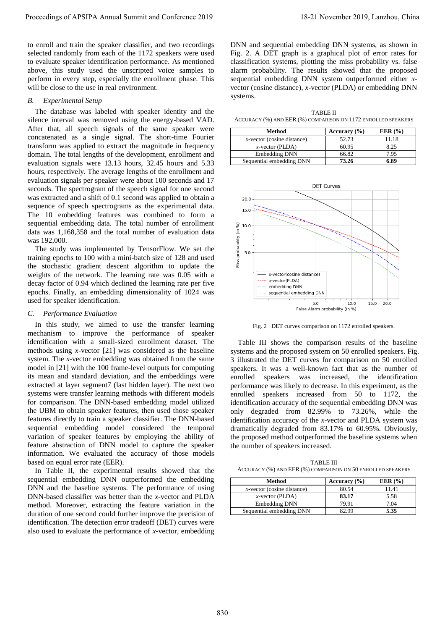to enroll and train the speaker classifier, and two recordings selected randomly from each of the 1172 speakers were used to evaluate speaker identification performance. As mentioned above, this study used the unscripted voice samples to perform in every step, especially the enrollment phase. This will be close to the use in real environment.

#### *B. Experimental Setup*

The database was labeled with speaker identity and the silence interval was removed using the energy-based VAD. After that, all speech signals of the same speaker were concatenated as a single signal. The short-time Fourier transform was applied to extract the magnitude in frequency domain. The total lengths of the development, enrollment and evaluation signals were 13.13 hours, 32.45 hours and 5.33 hours, respectively. The average lengths of the enrollment and evaluation signals per speaker were about 100 seconds and 17 seconds. The spectrogram of the speech signal for one second was extracted and a shift of 0.1 second was applied to obtain a sequence of speech spectrograms as the experimental data. The 10 embedding features was combined to form a sequential embedding data. The total number of enrollment data was 1,168,358 and the total number of evaluation data was 192,000.

The study was implemented by TensorFlow. We set the training epochs to 100 with a mini-batch size of 128 and used the stochastic gradient descent algorithm to update the weights of the network. The learning rate was 0.05 with a decay factor of 0.94 which declined the learning rate per five epochs. Finally, an embedding dimensionality of 1024 was used for speaker identification.

#### *C. Performance Evaluation*

In this study, we aimed to use the transfer learning mechanism to improve the performance of speaker identification with a small-sized enrollment dataset. The methods using *x*-vector [21] was considered as the baseline system. The *x*-vector embedding was obtained from the same model in [21] with the 100 frame-level outputs for computing its mean and standard deviation, and the embeddings were extracted at layer segment7 (last hidden layer). The next two systems were transfer learning methods with different models for comparison. The DNN-based embedding model utilized the UBM to obtain speaker features, then used those speaker features directly to train a speaker classifier. The DNN-based sequential embedding model considered the temporal variation of speaker features by employing the ability of feature abstraction of DNN model to capture the speaker information. We evaluated the accuracy of those models based on equal error rate (EER). Proceeding in the statistics of the content of the statistics of the statistics of the statistics of the statistics of the statistics of the statistics of the statistics of the statistics of the statistics of the statisti

In Table II, the experimental results showed that the sequential embedding DNN outperformed the embedding DNN and the baseline systems. The performance of using DNN-based classifier was better than the *x*-vector and PLDA method. Moreover, extracting the feature variation in the duration of one second could further improve the precision of identification. The detection error tradeoff (DET) curves were also used to evaluate the performance of *x*-vector, embedding DNN and sequential embedding DNN systems, as shown in Fig. 2. A DET graph is a graphical plot of error rates for classification systems, plotting the miss probability vs. false alarm probability. The results showed that the proposed sequential embedding DNN system outperformed either *x*vector (cosine distance), *x*-vector (PLDA) or embedding DNN systems.

TABLE II ACCURACY (%) AND EER (%) COMPARISON ON 1172 ENROLLED SPEAKERS

| Method                        | Accuracy $(\% )$ | EER $(% )$ |
|-------------------------------|------------------|------------|
| $x$ -vector (cosine distance) | 52.73            | 11.18      |
| $x$ -vector (PLDA)            | 60.95            | 8.25       |
| <b>Embedding DNN</b>          | 66.82            | 7.95       |
| Sequential embedding DNN      | 73.26            | 6.89       |



Fig. 2 DET curves comparison on 1172 enrolled speakers.

Table III shows the comparison results of the baseline systems and the proposed system on 50 enrolled speakers. Fig. 3 illustrated the DET curves for comparison on 50 enrolled speakers. It was a well-known fact that as the number of enrolled speakers was increased, the identification performance was likely to decrease. In this experiment, as the enrolled speakers increased from 50 to 1172, the identification accuracy of the sequential embedding DNN was only degraded from 82.99% to 73.26%, while the identification accuracy of the *x*-vector and PLDA system was dramatically degraded from 83.17% to 60.95%. Obviously, the proposed method outperformed the baseline systems when the number of speakers increased.

TABLE III ACCURACY (%) AND EER (%) COMPARISON ON 50 ENROLLED SPEAKERS

| Method                        | Accuracy $(\% )$ | EER $(%$ |
|-------------------------------|------------------|----------|
| $x$ -vector (cosine distance) | 80.54            | 11.41    |
| $x$ -vector (PLDA)            | 83.17            | 5.58     |
| Embedding DNN                 | 79.91            | 7.04     |
| Sequential embedding DNN      | 22 QQ            | 5.35     |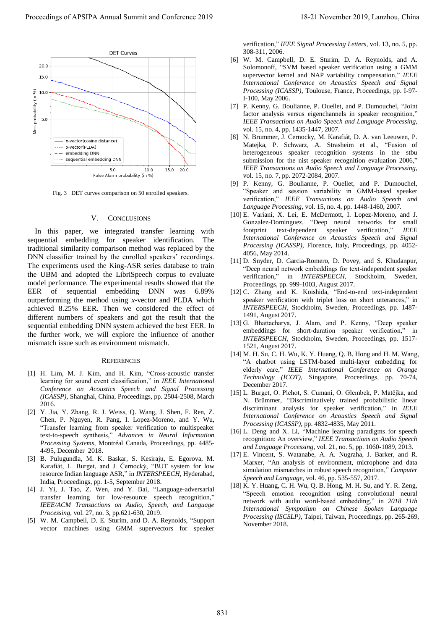

Fig. 3 DET curves comparison on 50 enrolled speakers.

#### V. CONCLUSIONS

In this paper, we integrated transfer learning with sequential embedding for speaker identification. The traditional similarity comparison method was replaced by the DNN classifier trained by the enrolled speakers' recordings. The experiments used the King-ASR series database to train the UBM and adopted the LibriSpeech corpus to evaluate model performance. The experimental results showed that the EER of sequential embedding DNN was 6.89% outperforming the method using *x*-vector and PLDA which achieved 8.25% EER. Then we considered the effect of different numbers of speakers and got the result that the sequential embedding DNN system achieved the best EER. In the further work, we will explore the influence of another mismatch issue such as environment mismatch.

#### **REFERENCES**

- [1] H. Lim, M. J. Kim, and H. Kim, "Cross-acoustic transfer learning for sound event classification," in *IEEE International Conference on Acoustics Speech and Signal Processing (ICASSP)*, Shanghai, China, Proceedings, pp. 2504-2508, March 2016.
- [2] Y. Jia, Y. Zhang, R. J. Weiss, Q. Wang, J. Shen, F. Ren, Z. Chen, P. Nguyen, R. Pang, I. Lopez-Moreno, and Y. Wu, "Transfer learning from speaker verification to multispeaker text-to-speech synthesis," *Advances in Neural Information Processing Systems*, Montréal Canada, Proceedings, pp. 4485- 4495, December 2018.
- [3] B. Pulugundla, M. K. Baskar, S. Kesiraju, E. Egorova, M. Karafiát, L. Burget, and J. Černocký, "BUT system for low resource Indian language ASR," in *INTERSPEECH*, Hyderabad, India, Proceedings, pp. 1-5, September 2018.
- [4] J. Yi, J. Tao, Z. Wen, and Y. Bai, "Language-adversarial transfer learning for low-resource speech recognition," *IEEE/ACM Transactions on Audio, Speech, and Language Processing*, vol. 27, no. 3, pp.621-630, 2019.
- [5] W. M. Campbell, D. E. Sturim, and D. A. Reynolds, "Support vector machines using GMM supervectors for speaker

verification," *IEEE Signal Processing Letters*, vol. 13, no. 5, pp. 308-311, 2006.

- [6] W. M. Campbell, D. E. Sturim, D. A. Reynolds, and A. Solomonoff, "SVM based speaker verification using a GMM supervector kernel and NAP variability compensation," *IEEE International Conference on Acoustics Speech and Signal Processing (ICASSP)*, Toulouse, France, Proceedings, pp. I-97- I-100, May 2006.
- [7] P. Kenny, G. Boulianne, P. Ouellet, and P. Dumouchel, "Joint factor analysis versus eigenchannels in speaker recognition," *IEEE Transactions on Audio Speech and Language Processing*, vol. 15, no. 4, pp. 1435-1447, 2007.
- [8] N. Brummer, J. Cernocky, M. Karafiát, D. A. van Leeuwen, P. Matejka, P. Schwarz, A. Strasheim et al., "Fusion of heterogeneous speaker recognition systems in the stbu submission for the nist speaker recognition evaluation 2006," *IEEE Transactions on Audio Speech and Language Processing*, vol. 15, no. 7, pp. 2072-2084, 2007.
- [9] P. Kenny, G. Boulianne, P. Ouellet, and P. Dumouchel, "Speaker and session variability in GMM-based speaker verification," *IEEE Transactions on Audio Speech and Language Processing*, vol. 15, no. 4, pp. 1448-1460, 2007.
- [10] E. Variani, X. Lei, E. McDermott, I. Lopez-Moreno, and J. Gonzalez-Dominguez, "Deep neural networks for small footprint text-dependent speaker verification," *IEEE International Conference on Acoustics Speech and Signal Processing (ICASSP)*, Florence, Italy, Proceedings, pp. 4052- 4056, May 2014.
- [11] D. Snyder, D. Garcia-Romero, D. Povey, and S. Khudanpur, "Deep neural network embeddings for text-independent speaker verification," in *INTERSPEECH*, Stockholm, Sweden, Proceedings, pp. 999-1003, August 2017.
- [12] C. Zhang and K. Koishida, "End-to-end text-independent speaker verification with triplet loss on short utterances," in *INTERSPEECH*, Stockholm, Sweden, Proceedings, pp. 1487- 1491, August 2017.
- [13] G. Bhattacharya, J. Alam, and P. Kenny, "Deep speaker embeddings for short-duration speaker verification," in *INTERSPEECH*, Stockholm, Sweden, Proceedings, pp. 1517- 1521, August 2017.
- [14] M. H. Su, C. H. Wu, K. Y. Huang, Q. B. Hong and H. M. Wang, "A chatbot using LSTM-based multi-layer embedding for elderly care," *IEEE International Conference on Orange Technology (ICOT)*, Singapore, Proceedings, pp. 70-74, December 2017.
- [15] L. Burget, O. Plchot, S. Cumani, O. Glembek, P. Matějka, and N. Brümmer, "Discriminatively trained probabilistic linear discriminant analysis for speaker verification," in *IEEE International Conference on Acoustics Speech and Signal Processing (ICASSP)*, pp. 4832-4835, May 2011.
- [16] L. Deng and X. Li, "Machine learning paradigms for speech recognition: An overview," *IEEE Transactions on Audio Speech and Language Processing*, vol. 21, no. 5, pp. 1060-1089, 2013.
- [17] E. Vincent, S. Watanabe, A. A. Nugraha, J. Barker, and R. Marxer, "An analysis of environment, microphone and data simulation mismatches in robust speech recognition," *Computer Speech and Language*, vol. 46, pp. 535-557, 2017.
- [18] K. Y. Huang, C. H. Wu, Q. B. Hong, M. H. Su, and Y. R. Zeng, "Speech emotion recognition using convolutional neural network with audio word-based embedding," in *2018 11th International Symposium on Chinese Spoken Language Processing (ISCSLP)*, Taipei, Taiwan, Proceedings, pp. 265-269, November 2018.